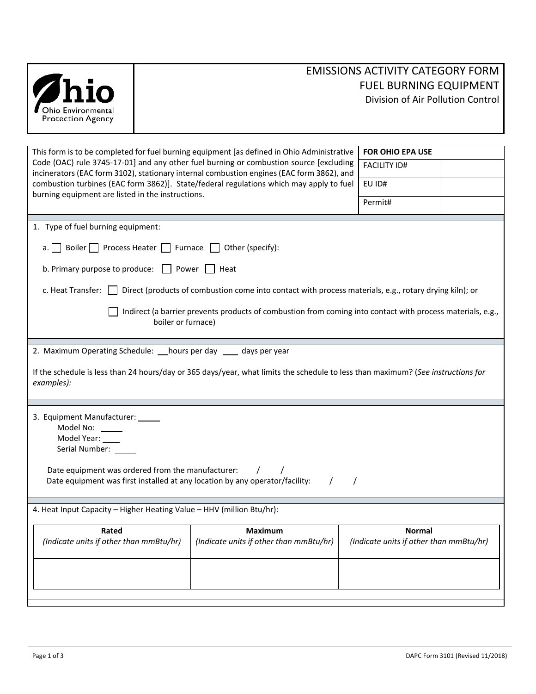|                                                                                    |                    |                                                                                                                                                                                     | EIVIISSIUNS AUTIVITT CATEGUNT FÜNN                                 |  |
|------------------------------------------------------------------------------------|--------------------|-------------------------------------------------------------------------------------------------------------------------------------------------------------------------------------|--------------------------------------------------------------------|--|
| Ohio Environmental                                                                 |                    |                                                                                                                                                                                     | <b>FUEL BURNING EQUIPMENT</b><br>Division of Air Pollution Control |  |
| <b>Protection Agency</b>                                                           |                    |                                                                                                                                                                                     |                                                                    |  |
|                                                                                    |                    |                                                                                                                                                                                     |                                                                    |  |
|                                                                                    |                    | This form is to be completed for fuel burning equipment [as defined in Ohio Administrative                                                                                          | <b>FOR OHIO EPA USE</b>                                            |  |
|                                                                                    |                    | Code (OAC) rule 3745-17-01] and any other fuel burning or combustion source [excluding<br>incinerators (EAC form 3102), stationary internal combustion engines (EAC form 3862), and | <b>FACILITY ID#</b>                                                |  |
|                                                                                    |                    | combustion turbines (EAC form 3862)]. State/federal regulations which may apply to fuel                                                                                             | EU ID#                                                             |  |
| burning equipment are listed in the instructions.                                  |                    |                                                                                                                                                                                     | Permit#                                                            |  |
| 1. Type of fuel burning equipment:                                                 |                    |                                                                                                                                                                                     |                                                                    |  |
| а.                                                                                 |                    | Boiler Process Heater Furnace Other (specify):                                                                                                                                      |                                                                    |  |
| b. Primary purpose to produce: $\Box$ Power $\Box$ Heat                            |                    |                                                                                                                                                                                     |                                                                    |  |
|                                                                                    |                    | c. Heat Transfer: $\Box$ Direct (products of combustion come into contact with process materials, e.g., rotary drying kiln); or                                                     |                                                                    |  |
|                                                                                    |                    | Indirect (a barrier prevents products of combustion from coming into contact with process materials, e.g.,                                                                          |                                                                    |  |
|                                                                                    | boiler or furnace) |                                                                                                                                                                                     |                                                                    |  |
| 2. Maximum Operating Schedule: ___ hours per day _____ days per year               |                    |                                                                                                                                                                                     |                                                                    |  |
| examples):                                                                         |                    | If the schedule is less than 24 hours/day or 365 days/year, what limits the schedule to less than maximum? (See instructions for                                                    |                                                                    |  |
|                                                                                    |                    |                                                                                                                                                                                     |                                                                    |  |
| 3. Equipment Manufacturer:<br>Model No: _____<br>Model Year: ___<br>Serial Number: |                    |                                                                                                                                                                                     |                                                                    |  |
| Date equipment was ordered from the manufacturer:                                  |                    | Date equipment was first installed at any location by any operator/facility:                                                                                                        | $\prime$                                                           |  |
| 4. Heat Input Capacity - Higher Heating Value - HHV (million Btu/hr):              |                    |                                                                                                                                                                                     |                                                                    |  |
|                                                                                    |                    |                                                                                                                                                                                     |                                                                    |  |
| Rated<br>(Indicate units if other than mmBtu/hr)                                   |                    | <b>Maximum</b><br>(Indicate units if other than mmBtu/hr)                                                                                                                           | <b>Normal</b><br>(Indicate units if other than mmBtu/hr)           |  |
|                                                                                    |                    |                                                                                                                                                                                     |                                                                    |  |

# EMISSIONS ACTIVITY CATEGORY FORM FUEL BURNING EQUIPMENT Pollution Control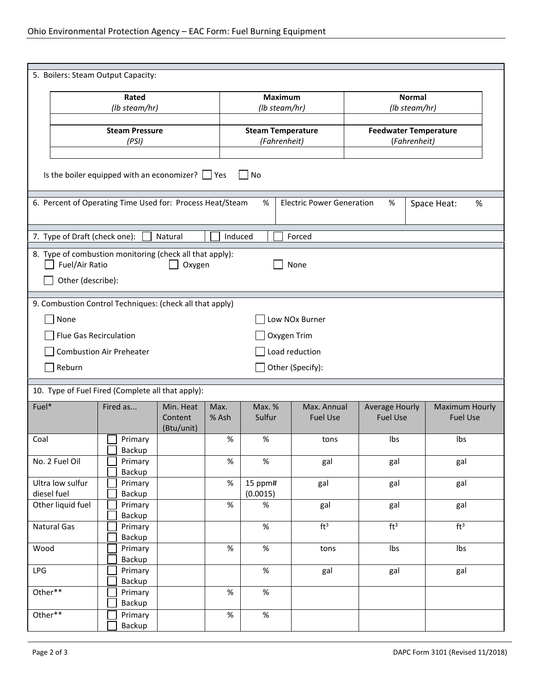| 5. Boilers: Steam Output Capacity:                                                                                          |                                 |                                    |               |                                          |                                |                                              |                                          |
|-----------------------------------------------------------------------------------------------------------------------------|---------------------------------|------------------------------------|---------------|------------------------------------------|--------------------------------|----------------------------------------------|------------------------------------------|
| Rated                                                                                                                       |                                 |                                    |               | <b>Maximum</b>                           |                                | <b>Normal</b>                                |                                          |
|                                                                                                                             | (lb steam/hr)                   |                                    |               | (lb steam/hr)                            |                                | (lb steam/hr)                                |                                          |
| <b>Steam Pressure</b><br>(PSI)                                                                                              |                                 |                                    |               | <b>Steam Temperature</b><br>(Fahrenheit) |                                | <b>Feedwater Temperature</b><br>(Fahrenheit) |                                          |
|                                                                                                                             |                                 |                                    |               |                                          |                                |                                              |                                          |
| Is the boiler equipped with an economizer? $\Box$ Yes<br><b>No</b>                                                          |                                 |                                    |               |                                          |                                |                                              |                                          |
| 6. Percent of Operating Time Used for: Process Heat/Steam<br><b>Electric Power Generation</b><br>%<br>%<br>Space Heat:<br>% |                                 |                                    |               |                                          |                                |                                              |                                          |
| 7. Type of Draft (check one):                                                                                               |                                 | Natural                            | Induced       |                                          | Forced                         |                                              |                                          |
| 8. Type of combustion monitoring (check all that apply):<br>Fuel/Air Ratio<br>Oxygen<br>None<br>Other (describe):           |                                 |                                    |               |                                          |                                |                                              |                                          |
| 9. Combustion Control Techniques: (check all that apply)                                                                    |                                 |                                    |               |                                          |                                |                                              |                                          |
| None                                                                                                                        |                                 |                                    |               |                                          | Low NOx Burner                 |                                              |                                          |
| Flue Gas Recirculation                                                                                                      |                                 |                                    |               |                                          | Oxygen Trim                    |                                              |                                          |
|                                                                                                                             | <b>Combustion Air Preheater</b> |                                    |               |                                          | Load reduction                 |                                              |                                          |
| Reburn                                                                                                                      |                                 |                                    |               |                                          | Other (Specify):               |                                              |                                          |
|                                                                                                                             |                                 |                                    |               |                                          |                                |                                              |                                          |
| 10. Type of Fuel Fired (Complete all that apply):                                                                           |                                 |                                    |               |                                          |                                |                                              |                                          |
| Fuel*                                                                                                                       | Fired as                        | Min. Heat<br>Content<br>(Btu/unit) | Max.<br>% Ash | Max. %<br>Sulfur                         | Max. Annual<br><b>Fuel Use</b> | <b>Average Hourly</b><br><b>Fuel Use</b>     | <b>Maximum Hourly</b><br><b>Fuel Use</b> |
| Coal                                                                                                                        | Primary                         |                                    | %             | %                                        | tons                           | Ibs                                          | Ibs                                      |
| No. 2 Fuel Oil                                                                                                              | Backup<br>Primary<br>Backup     |                                    | %             | $\%$                                     | gal                            | gal                                          | gal                                      |
| Ultra low sulfur<br>diesel fuel                                                                                             | Primary<br>Backup               |                                    | $\%$          | 15 ppm#<br>(0.0015)                      | gal                            | gal                                          | gal                                      |
| Other liquid fuel                                                                                                           | Primary<br>Backup               |                                    | $\%$          | %                                        | gal                            | gal                                          | gal                                      |
| Natural Gas                                                                                                                 | Primary<br>Backup               |                                    |               | $\%$                                     | ft <sup>3</sup>                | ft <sup>3</sup>                              | ft <sup>3</sup>                          |
| Wood                                                                                                                        | Primary<br>Backup               |                                    | $\%$          | $\%$                                     | tons                           | Ibs                                          | Ibs                                      |
| LPG                                                                                                                         | Primary<br>Backup               |                                    |               | %                                        | gal                            | gal                                          | gal                                      |
| Other**                                                                                                                     | Primary<br>Backup               |                                    | %             | $\%$                                     |                                |                                              |                                          |
| Other**                                                                                                                     | Primary<br>Backup               |                                    | $\%$          | $\%$                                     |                                |                                              |                                          |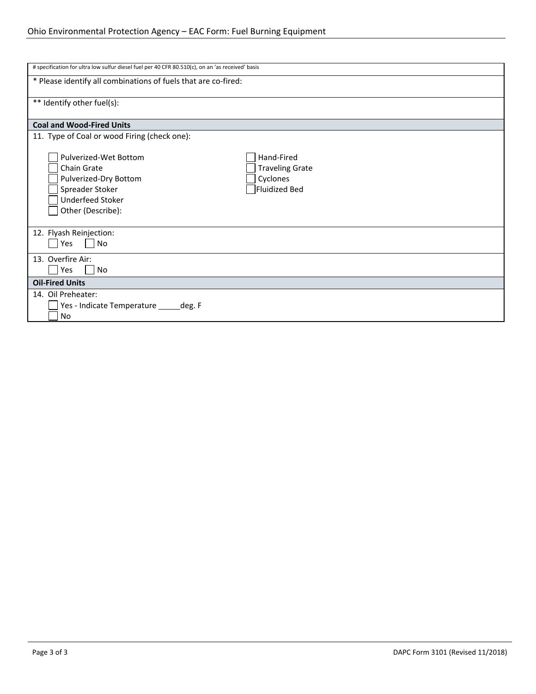| # specification for ultra low sulfur diesel fuel per 40 CFR 80.510(c), on an 'as received' basis                                 |                                                                   |  |  |  |
|----------------------------------------------------------------------------------------------------------------------------------|-------------------------------------------------------------------|--|--|--|
| * Please identify all combinations of fuels that are co-fired:                                                                   |                                                                   |  |  |  |
| ** Identify other fuel(s):                                                                                                       |                                                                   |  |  |  |
| <b>Coal and Wood-Fired Units</b>                                                                                                 |                                                                   |  |  |  |
| 11. Type of Coal or wood Firing (check one):                                                                                     |                                                                   |  |  |  |
| Pulverized-Wet Bottom<br>Chain Grate<br>Pulverized-Dry Bottom<br>Spreader Stoker<br><b>Underfeed Stoker</b><br>Other (Describe): | Hand-Fired<br><b>Traveling Grate</b><br>Cyclones<br>Fluidized Bed |  |  |  |
| 12. Flyash Reinjection:<br>$\overline{\phantom{a}}$ No<br>Yes                                                                    |                                                                   |  |  |  |
| 13. Overfire Air:<br>Yes<br>No                                                                                                   |                                                                   |  |  |  |
| <b>Oil-Fired Units</b>                                                                                                           |                                                                   |  |  |  |
| 14. Oil Preheater:<br>Yes - Indicate Temperature _____ deg. F<br>No                                                              |                                                                   |  |  |  |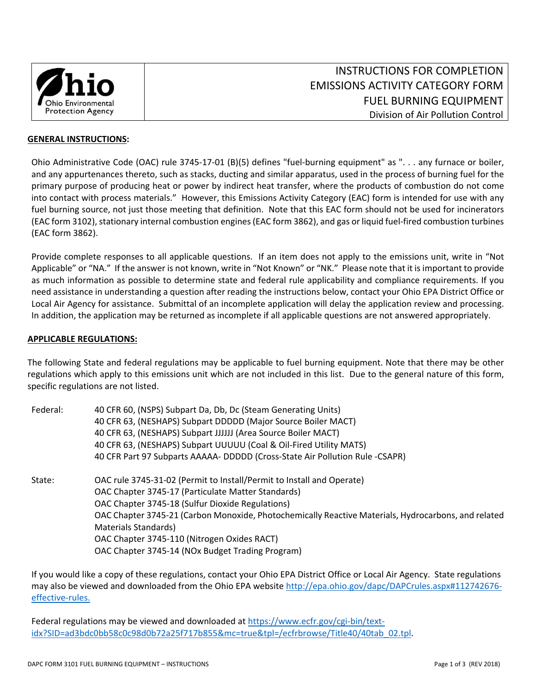

#### **GENERAL INSTRUCTIONS:**

Ohio Administrative Code (OAC) rule 3745‐17‐01 (B)(5) defines "fuel‐burning equipment" as ". . . any furnace or boiler, and any appurtenances thereto, such as stacks, ducting and similar apparatus, used in the process of burning fuel for the primary purpose of producing heat or power by indirect heat transfer, where the products of combustion do not come into contact with process materials." However, this Emissions Activity Category (EAC) form is intended for use with any fuel burning source, not just those meeting that definition. Note that this EAC form should not be used for incinerators (EAC form 3102), stationary internal combustion engines (EAC form 3862), and gas or liquid fuel‐fired combustion turbines (EAC form 3862).

Provide complete responses to all applicable questions. If an item does not apply to the emissions unit, write in "Not Applicable" or "NA." If the answer is not known, write in "Not Known" or "NK." Please note that it is important to provide as much information as possible to determine state and federal rule applicability and compliance requirements. If you need assistance in understanding a question after reading the instructions below, contact your Ohio EPA District Office or Local Air Agency for assistance. Submittal of an incomplete application will delay the application review and processing. In addition, the application may be returned as incomplete if all applicable questions are not answered appropriately.

## **APPLICABLE REGULATIONS:**

The following State and federal regulations may be applicable to fuel burning equipment. Note that there may be other regulations which apply to this emissions unit which are not included in this list.Due to the general nature of this form, specific regulations are not listed.

| Federal: | 40 CFR 60, (NSPS) Subpart Da, Db, Dc (Steam Generating Units)                                       |  |  |  |  |  |
|----------|-----------------------------------------------------------------------------------------------------|--|--|--|--|--|
|          | 40 CFR 63, (NESHAPS) Subpart DDDDD (Major Source Boiler MACT)                                       |  |  |  |  |  |
|          | 40 CFR 63, (NESHAPS) Subpart JJJJJJ (Area Source Boiler MACT)                                       |  |  |  |  |  |
|          | 40 CFR 63, (NESHAPS) Subpart UUUUU (Coal & Oil-Fired Utility MATS)                                  |  |  |  |  |  |
|          | 40 CFR Part 97 Subparts AAAAA- DDDDD (Cross-State Air Pollution Rule -CSAPR)                        |  |  |  |  |  |
| State:   | OAC rule 3745-31-02 (Permit to Install/Permit to Install and Operate)                               |  |  |  |  |  |
|          | OAC Chapter 3745-17 (Particulate Matter Standards)                                                  |  |  |  |  |  |
|          | OAC Chapter 3745-18 (Sulfur Dioxide Regulations)                                                    |  |  |  |  |  |
|          | OAC Chapter 3745-21 (Carbon Monoxide, Photochemically Reactive Materials, Hydrocarbons, and related |  |  |  |  |  |
|          | Materials Standards)                                                                                |  |  |  |  |  |
|          | OAC Chapter 3745-110 (Nitrogen Oxides RACT)                                                         |  |  |  |  |  |
|          | OAC Chapter 3745-14 (NOx Budget Trading Program)                                                    |  |  |  |  |  |

If you would like a copy of these regulations, contact your Ohio EPA District Office or Local Air Agency. State regulations may also be viewed and downloaded from the Ohio EPA website http://epa.ohio.gov/dapc/DAPCrules.aspx#112742676effective‐rules.

Federal regulations may be viewed and downloaded at https://www.ecfr.gov/cgi-bin/textidx?SID=ad3bdc0bb58c0c98d0b72a25f717b855&mc=true&tpl=/ecfrbrowse/Title40/40tab\_02.tpl.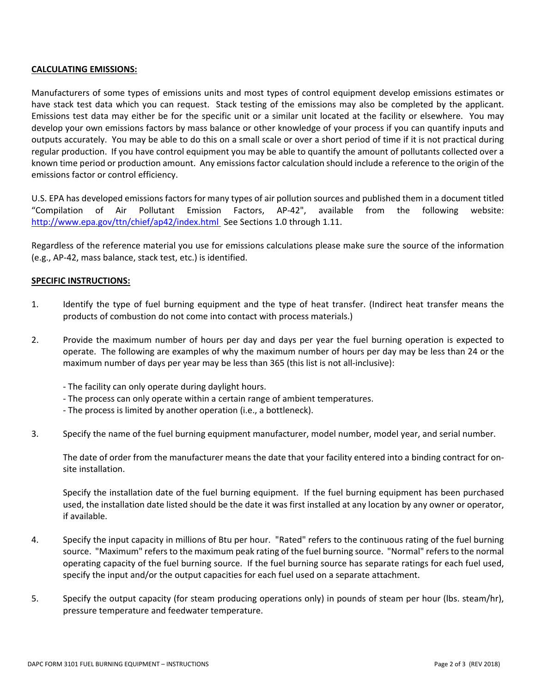## **CALCULATING EMISSIONS:**

Manufacturers of some types of emissions units and most types of control equipment develop emissions estimates or have stack test data which you can request. Stack testing of the emissions may also be completed by the applicant. Emissions test data may either be for the specific unit or a similar unit located at the facility or elsewhere. You may develop your own emissions factors by mass balance or other knowledge of your process if you can quantify inputs and outputs accurately. You may be able to do this on a small scale or over a short period of time if it is not practical during regular production. If you have control equipment you may be able to quantify the amount of pollutants collected over a known time period or production amount. Any emissions factor calculation should include a reference to the origin of the emissions factor or control efficiency.

U.S. EPA has developed emissions factors for many types of air pollution sources and published them in a document titled "Compilation of Air Pollutant Emission Factors, AP‐42", available from the following website: http://www.epa.gov/ttn/chief/ap42/index.html See Sections 1.0 through 1.11.

Regardless of the reference material you use for emissions calculations please make sure the source of the information (e.g., AP‐42, mass balance, stack test, etc.) is identified.

## **SPECIFIC INSTRUCTIONS:**

- 1. Identify the type of fuel burning equipment and the type of heat transfer. (Indirect heat transfer means the products of combustion do not come into contact with process materials.)
- 2. Provide the maximum number of hours per day and days per year the fuel burning operation is expected to operate. The following are examples of why the maximum number of hours per day may be less than 24 or the maximum number of days per year may be less than 365 (this list is not all-inclusive):
	- ‐ The facility can only operate during daylight hours.
	- ‐ The process can only operate within a certain range of ambient temperatures.
	- ‐ The process is limited by another operation (i.e., a bottleneck).
- 3. Specify the name of the fuel burning equipment manufacturer, model number, model year, and serial number.

The date of order from the manufacturer means the date that your facility entered into a binding contract for on‐ site installation.

Specify the installation date of the fuel burning equipment. If the fuel burning equipment has been purchased used, the installation date listed should be the date it was first installed at any location by any owner or operator, if available.

- 4. Specify the input capacity in millions of Btu per hour. "Rated" refers to the continuous rating of the fuel burning source. "Maximum" refers to the maximum peak rating of the fuel burning source. "Normal" refers to the normal operating capacity of the fuel burning source. If the fuel burning source has separate ratings for each fuel used, specify the input and/or the output capacities for each fuel used on a separate attachment.
- 5. Specify the output capacity (for steam producing operations only) in pounds of steam per hour (lbs. steam/hr), pressure temperature and feedwater temperature.